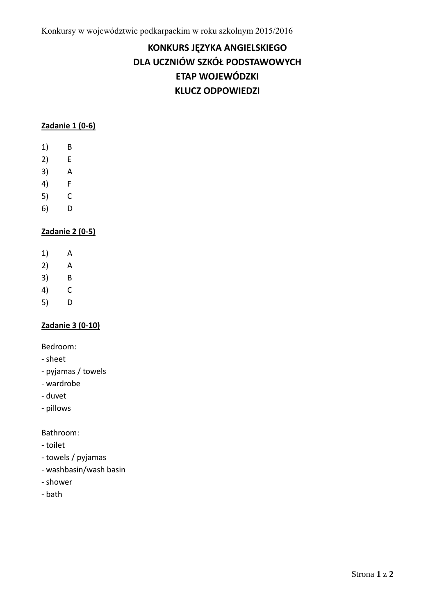# **KONKURS JĘZYKA ANGIELSKIEGO DLA UCZNIÓW SZKÓŁ PODSTAWOWYCH ETAP WOJEWÓDZKI KLUCZ ODPOWIEDZI**

## **Zadanie 1 (0-6)**

- 1) B
- 2) E
- 3) A
- 4) F
- 5) C
- 6) D

## **Zadanie 2 (0-5)**

- 1) A
- 2) A
- 3) B
- 4) C
- 5) D

## **Zadanie 3 (0-10)**

Bedroom:

- sheet
- pyjamas / towels
- wardrobe
- duvet
- pillows

Bathroom:

- toilet
- towels / pyjamas
- washbasin/wash basin
- shower
- bath